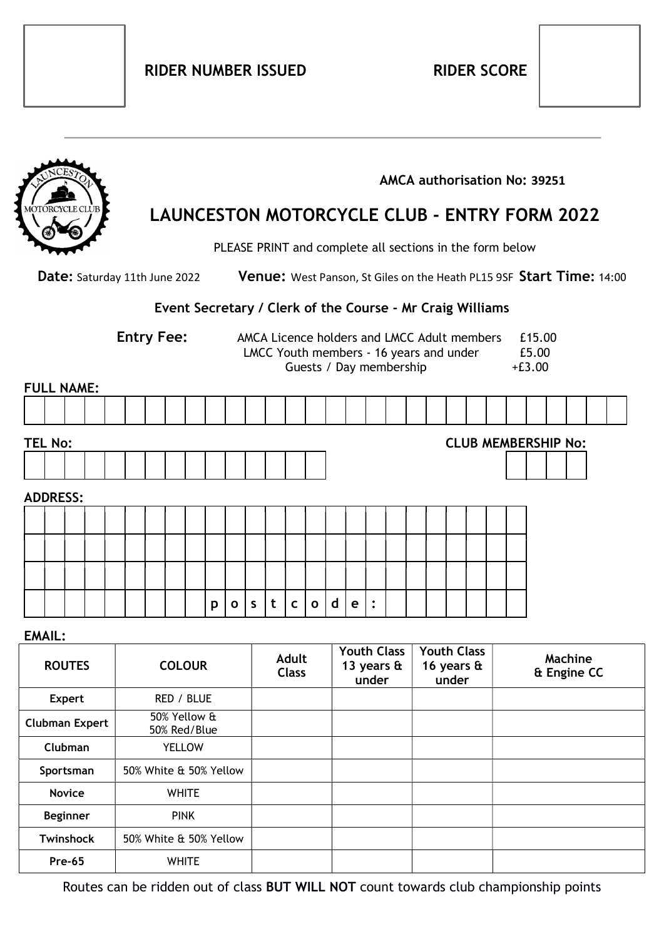|                                                       |                 |  |                        |  |  | LAUNCESTON MOTORCYCLE CLUB - ENTRY FORM 2022 |   |              |              |                                                                                                                                                  |                                                           |              |   |                                      |                | AMCA authorisation No: 39251<br>PLEASE PRINT and complete all sections in the form below |  |                                                                     |  |  |  |                            |  |  |  |  |  |
|-------------------------------------------------------|-----------------|--|------------------------|--|--|----------------------------------------------|---|--------------|--------------|--------------------------------------------------------------------------------------------------------------------------------------------------|-----------------------------------------------------------|--------------|---|--------------------------------------|----------------|------------------------------------------------------------------------------------------|--|---------------------------------------------------------------------|--|--|--|----------------------------|--|--|--|--|--|
| Date: Saturday 11th June 2022                         |                 |  |                        |  |  |                                              |   |              |              | Venue: West Panson, St Giles on the Heath PL15 9SF Start Time: 14:00                                                                             |                                                           |              |   |                                      |                |                                                                                          |  |                                                                     |  |  |  |                            |  |  |  |  |  |
|                                                       |                 |  |                        |  |  |                                              |   |              |              |                                                                                                                                                  | Event Secretary / Clerk of the Course - Mr Craig Williams |              |   |                                      |                |                                                                                          |  |                                                                     |  |  |  |                            |  |  |  |  |  |
| <b>Entry Fee:</b>                                     |                 |  |                        |  |  |                                              |   |              |              | AMCA Licence holders and LMCC Adult members<br>£15.00<br>LMCC Youth members - 16 years and under<br>£5.00<br>Guests / Day membership<br>$+E3.00$ |                                                           |              |   |                                      |                |                                                                                          |  |                                                                     |  |  |  |                            |  |  |  |  |  |
| <b>FULL NAME:</b>                                     |                 |  |                        |  |  |                                              |   |              |              |                                                                                                                                                  |                                                           |              |   |                                      |                |                                                                                          |  |                                                                     |  |  |  |                            |  |  |  |  |  |
|                                                       |                 |  |                        |  |  |                                              |   |              |              |                                                                                                                                                  |                                                           |              |   |                                      |                |                                                                                          |  |                                                                     |  |  |  |                            |  |  |  |  |  |
| <b>TEL No:</b>                                        |                 |  |                        |  |  |                                              |   |              |              |                                                                                                                                                  |                                                           |              |   |                                      |                |                                                                                          |  |                                                                     |  |  |  | <b>CLUB MEMBERSHIP No:</b> |  |  |  |  |  |
|                                                       |                 |  |                        |  |  |                                              |   |              |              |                                                                                                                                                  |                                                           |              |   |                                      |                |                                                                                          |  |                                                                     |  |  |  |                            |  |  |  |  |  |
| <b>ADDRESS:</b>                                       |                 |  |                        |  |  |                                              |   |              |              |                                                                                                                                                  |                                                           |              |   |                                      |                |                                                                                          |  |                                                                     |  |  |  |                            |  |  |  |  |  |
|                                                       |                 |  |                        |  |  |                                              |   |              |              |                                                                                                                                                  |                                                           |              |   |                                      |                |                                                                                          |  |                                                                     |  |  |  |                            |  |  |  |  |  |
|                                                       |                 |  |                        |  |  |                                              |   |              |              |                                                                                                                                                  |                                                           |              |   |                                      |                |                                                                                          |  |                                                                     |  |  |  |                            |  |  |  |  |  |
|                                                       |                 |  |                        |  |  |                                              |   |              |              |                                                                                                                                                  |                                                           |              |   |                                      |                |                                                                                          |  |                                                                     |  |  |  |                            |  |  |  |  |  |
|                                                       |                 |  |                        |  |  |                                              | p | $\mathbf{o}$ | $\mathsf{S}$ | t                                                                                                                                                | $\mathsf{C}$                                              | $\mathbf{o}$ | d | $\mathbf e$                          | $\ddot{\cdot}$ |                                                                                          |  |                                                                     |  |  |  |                            |  |  |  |  |  |
| <b>EMAIL:</b>                                         |                 |  |                        |  |  |                                              |   |              |              |                                                                                                                                                  |                                                           |              |   |                                      |                |                                                                                          |  |                                                                     |  |  |  |                            |  |  |  |  |  |
| <b>ROUTES</b>                                         |                 |  | <b>COLOUR</b>          |  |  |                                              |   |              |              | <b>Adult</b><br><b>Class</b>                                                                                                                     |                                                           |              |   | 13 years $\mathbf{\hat{a}}$<br>under |                |                                                                                          |  | Youth Class   Youth Class  <br>16 years $\mathbf{\hat{a}}$<br>under |  |  |  | Machine<br>& Engine CC     |  |  |  |  |  |
| <b>Expert</b>                                         |                 |  | RED / BLUE             |  |  |                                              |   |              |              |                                                                                                                                                  |                                                           |              |   |                                      |                |                                                                                          |  |                                                                     |  |  |  |                            |  |  |  |  |  |
| 50% Yellow &<br><b>Clubman Expert</b><br>50% Red/Blue |                 |  |                        |  |  |                                              |   |              |              |                                                                                                                                                  |                                                           |              |   |                                      |                |                                                                                          |  |                                                                     |  |  |  |                            |  |  |  |  |  |
| Clubman                                               |                 |  | <b>YELLOW</b>          |  |  |                                              |   |              |              |                                                                                                                                                  |                                                           |              |   |                                      |                |                                                                                          |  |                                                                     |  |  |  |                            |  |  |  |  |  |
| Sportsman                                             |                 |  | 50% White & 50% Yellow |  |  |                                              |   |              |              |                                                                                                                                                  |                                                           |              |   |                                      |                |                                                                                          |  |                                                                     |  |  |  |                            |  |  |  |  |  |
| <b>Novice</b>                                         |                 |  | <b>WHITE</b>           |  |  |                                              |   |              |              |                                                                                                                                                  |                                                           |              |   |                                      |                |                                                                                          |  |                                                                     |  |  |  |                            |  |  |  |  |  |
|                                                       | <b>Beginner</b> |  | <b>PINK</b>            |  |  |                                              |   |              |              |                                                                                                                                                  |                                                           |              |   |                                      |                |                                                                                          |  |                                                                     |  |  |  |                            |  |  |  |  |  |
|                                                       | Twinshock       |  | 50% White & 50% Yellow |  |  |                                              |   |              |              |                                                                                                                                                  |                                                           |              |   |                                      |                |                                                                                          |  |                                                                     |  |  |  |                            |  |  |  |  |  |
| <b>Pre-65</b>                                         |                 |  | <b>WHITE</b>           |  |  |                                              |   |              |              |                                                                                                                                                  |                                                           |              |   |                                      |                |                                                                                          |  |                                                                     |  |  |  |                            |  |  |  |  |  |

Routes can be ridden out of class BUT WILL NOT count towards club championship points